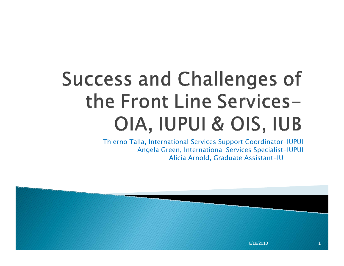# **Success and Challenges of** the Front Line Services-OIA, IUPUI & OIS, IUB

Thierno Talla, International Services Support Coordinator-IUPUI Angela Green, International Services Specialist-IUPUI Alicia Arnold, Graduate Assistant-IU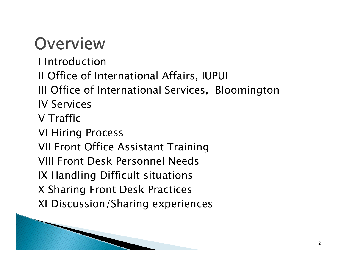### Overview

- I Introduction
- II Office of International Affairs, IUPUI
- III Office of International Services, Bloomington IV Services
- V Traffic
- VI Hiring Process
- VII Front Office Assistant Training
- VIII Front Desk Personnel Needs
- IX Handling Difficult situations
- X Sharing Front Desk Practices
- XI Discussion/Sharing experiences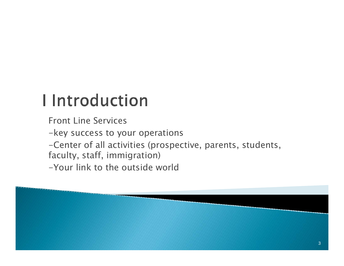## **I** Introduction

Front Line Services

-key success to your operations

-Center of all activities (prospective, parents, students,

faculty, staff, immigration)

-Your link to the outside world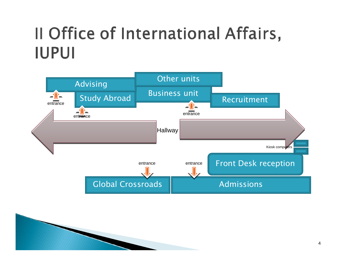### Il Office of International Affairs, **IUPUI**

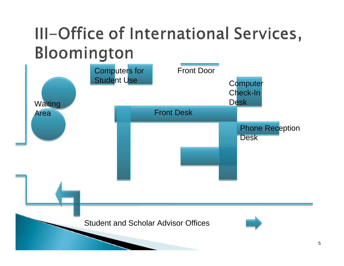### III-Office of International Services, Bloomington

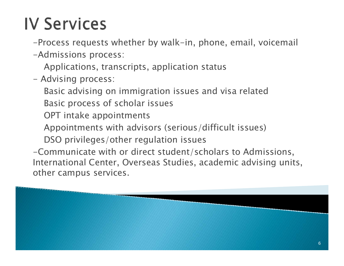#### **IV Services**

-Process requests whether by walk-in, phone, email, voicemail

-Admissions process:

Applications, t ranscripts, application status

- Advising process:

Basic advising on immigration issues and visa related Basic process of scholar issues

OPT intake appointments

Appointments with advisors (serious/diffic ult issues)

DSO privileges/other regulation issues

-Communicate with or direct student/scholars to Admissions, Inter nati onal Center, Overseas Studies, academic advising units, other campus services.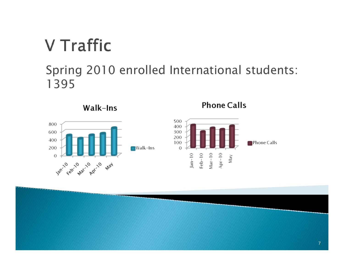#### **V** Traffic

#### Spring 2010 enrolled International students: 1395

**Phone Calls** 

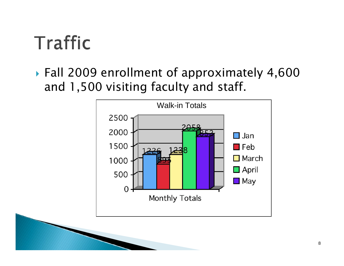## Traffic

 $\blacktriangleright$  Fall 2009 enrollment of approximately 4,600 and 1,500 visiting faculty and staff.

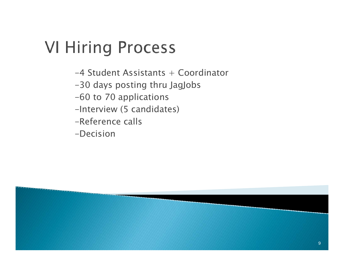## **VI Hiring Process**

- -4 Student Assistants + Coordinator
- -30 days posting thru JagJob s
- -60 to 70 applications
- -Interview (5 candidates)
- -Reference calls
- -Decision

9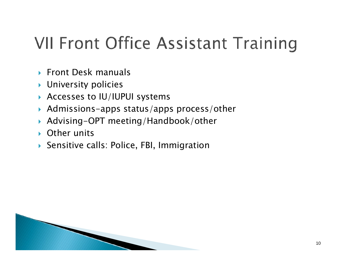## **VII Front Office Assistant Training**

- ▶ Front Desk manuals
- $\blacktriangleright$  University policies
- $\blacktriangleright$  Accesses to IU/IUPUI systems

**RANCHES** 

- $\blacktriangleright$  Admissions-apps status/apps process/other
- $\blacktriangleright$ Advising-OPT meeting/Handbook/other
- $\blacktriangleright$ Other units
- $\blacktriangleright$  Sensitive calls: Police, FBI, Immigration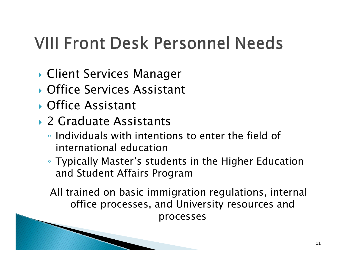## **VIII Front Desk Personnel Needs**

- **Client Services Manager**
- **Contact Services Assistant**
- **C** Office Assistant
- ▶ 2 Graduate Assistants

1990 Company Company Company Company

- Individuals with intentions to enter the field of international education
- Typically Master's students in the Higher Education and Student Affairs Program

All trained on basic immigration regulations, internal office processes, and University resources and processes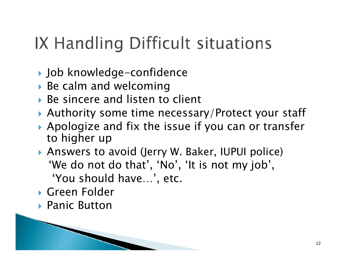## IX Handling Difficult situations

- ` Job knowledge-confidence
- $\blacktriangleright$  Be calm and welcoming
- $\triangleright$  Be sincere and listen to client
- $\blacktriangleright$  Authority some time necessary/Protect your staff
- $\blacktriangleright$  Apologize and fix the issue if you can or transfer to higher up
- **Answers to avoid (Jerry W. Baker, IUPUI police)** 'We do not do that', 'No', 'It is not my job', 'You should have…', etc.
- **S** Green Folder
- ▶ Panic Button

**Common Common**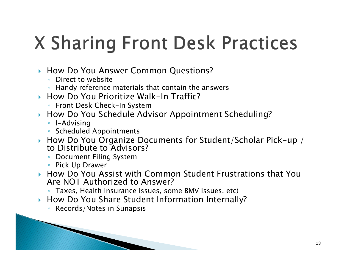# **X Sharing Front Desk Practices**

- **How Do You Answer Common Questions?** 
	- Direct to website
	- Handy reference materials that contain the answers
- $\blacktriangleright$  How Do You Prioritize Walk-In Traffic?
	- Front Desk Check-In System
- $\blacktriangleright$  How Do You Schedule Advisor Appointment Scheduling?
	- I-Advising
	- Scheduled Appointments
- ` How Do You Organize Documents for Student/Scholar Pick-up / to Distribute to Advisors?
	- Document Filing System
	- Pick Up Drawer
- $\blacktriangleright$  How Do You Assist with Common Student Frustrations that You Are NOT Authorized to Answer?
	- Taxes, Health insurance issues, some BMV issues, etc)
- **How Do You Share Student Information Internally?** 
	- Records/Notes in Sunapsis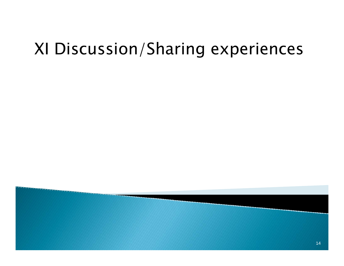#### XI Discussion/Sharing experiences